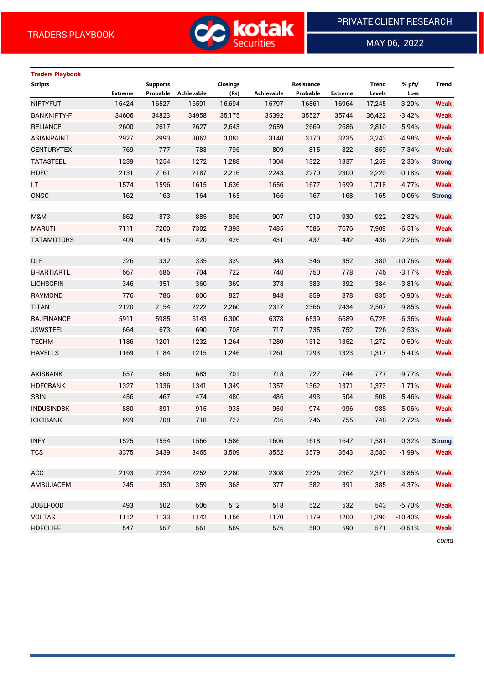

MAY 06, 2022

 $\overline{a}$ 

# **Traders Playbook Scripts Supports Closings Resistance Trend % pft/ Trend Extreme Probable Achievable (Rs) Achievable Probable Extreme Levels Loss** NIFTYFUT 16424 16527 16591 16,694 16797 16861 16964 17,245 -3.20% **Weak** BANKNIFTY-F 34606 34823 34958 35,175 35392 35527 35744 36,422 -3.42% **Weak** RELIANCE 2600 2617 2627 2,643 2659 2669 2686 2,810 -5.94% **Weak** ASIANPAINT 2927 2993 3062 3,081 3140 3170 3235 3,243 -4.98% **Weak** CENTURYTEX 769 777 783 796 809 815 822 859 -7.34% **Weak** TATASTEEL 1239 1254 1272 1,288 1304 1322 1337 1,259 2.33% **Strong** HDFC 2131 2161 2187 2,216 2243 2270 2300 2,220 -0.18% **Weak** LT 1574 1596 1615 1,636 1656 1677 1699 1,718 -4.77% **Weak** ONGC 162 163 164 165 166 167 168 165 0.06% **Strong** M&M 862 873 885 896 907 919 930 922 -2.82% **Weak** MARUTI 7111 7200 7302 7,393 7485 7586 7676 7,909 -6.51% **Weak** TATAMOTORS 409 415 420 426 431 437 442 436 -2.26% **Weak** DLF 326 332 335 339 343 346 352 380 -10.76% **Weak** BHARTIARTL 667 686 704 722 740 750 778 746 -3.17% **Weak** LICHSGFIN 346 351 360 369 378 383 392 384 -3.81% **Weak** RAYMOND 776 786 806 827 848 859 878 835 -0.90% **Weak** TITAN 2120 2154 2222 2,260 2317 2366 2434 2,507 -9.85% **Weak** BAJFINANCE 5911 5985 6143 6,300 6378 6539 6689 6,728 -6.36% **Weak** JSWSTEEL 664 673 690 708 717 735 752 726 -2.53% **Weak** TECHM 1186 1201 1232 1,264 1280 1312 1352 1,272 -0.59% **Weak** HAVELLS 1169 1184 1215 1,246 1261 1293 1323 1,317 -5.41% **Weak** AXISBANK 657 666 683 701 718 727 744 777 -9.77% **Weak** HDFCBANK 1327 1336 1341 1,349 1357 1362 1371 1,373 -1.71% **Weak** SBIN 456 467 474 480 486 493 504 508 -5.46% **Weak** INDUSINDBK 880 891 915 938 950 974 996 988 -5.06% **Weak** ICICIBANK 699 708 718 727 736 746 755 748 -2.72% **Weak** INFY 1525 1554 1566 1,586 1606 1618 1647 1,581 0.32% **Strong** TCS 3375 3439 3465 3,509 3552 3579 3643 3,580 -1.99% **Weak** ACC 2193 2234 2252 2,280 2308 2326 2367 2,371 -3.85% **Weak** AMBUJACEM 345 350 359 368 377 382 391 385 -4.37% **Weak** JUBLFOOD 493 502 506 512 518 522 532 543 -5.70% **Weak** VOLTAS 1112 1133 1142 1,156 1170 1179 1200 1,290 -10.40% **Weak** HDFCLIFE 547 557 561 569 576 580 590 571 -0.51% **Weak**

*contd*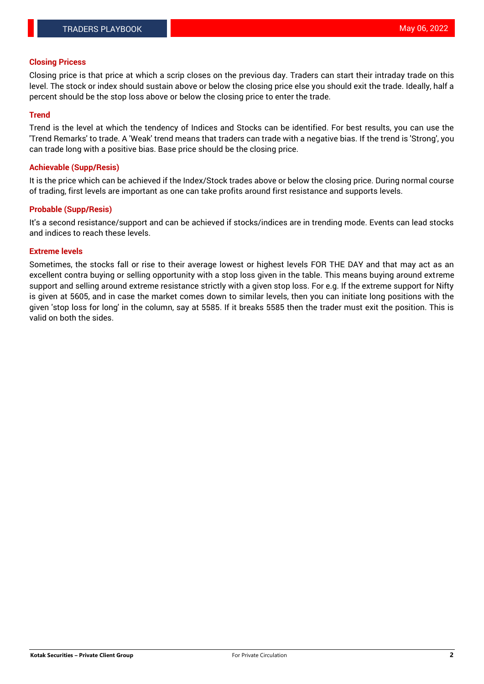#### **Closing Pricess**

Closing price is that price at which a scrip closes on the previous day. Traders can start their intraday trade on this level. The stock or index should sustain above or below the closing price else you should exit the trade. Ideally, half a percent should be the stop loss above or below the closing price to enter the trade.

## **Trend**

Trend is the level at which the tendency of Indices and Stocks can be identified. For best results, you can use the 'Trend Remarks' to trade. A 'Weak' trend means that traders can trade with a negative bias. If the trend is 'Strong', you can trade long with a positive bias. Base price should be the closing price.

#### **Achievable (Supp/Resis)**

It is the price which can be achieved if the Index/Stock trades above or below the closing price. During normal course of trading, first levels are important as one can take profits around first resistance and supports levels.

## **Probable (Supp/Resis)**

It's a second resistance/support and can be achieved if stocks/indices are in trending mode. Events can lead stocks and indices to reach these levels.

#### **Extreme levels**

Sometimes, the stocks fall or rise to their average lowest or highest levels FOR THE DAY and that may act as an excellent contra buying or selling opportunity with a stop loss given in the table. This means buying around extreme support and selling around extreme resistance strictly with a given stop loss. For e.g. If the extreme support for Nifty is given at 5605, and in case the market comes down to similar levels, then you can initiate long positions with the given 'stop loss for long' in the column, say at 5585. If it breaks 5585 then the trader must exit the position. This is valid on both the sides.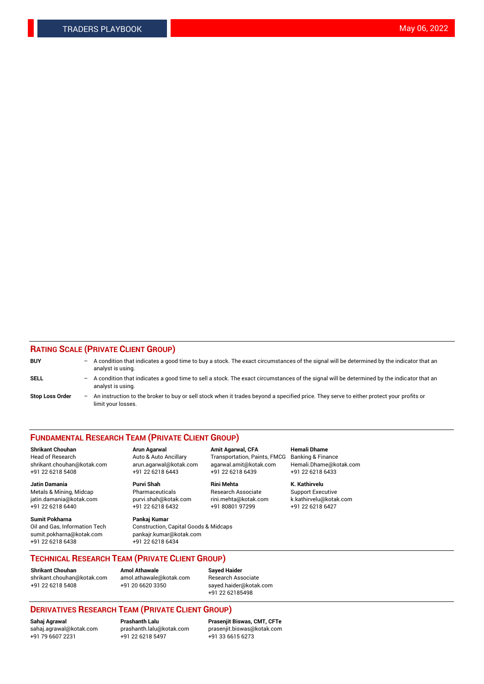## **RATING SCALE (PRIVATE CLIENT GROUP)**

| <b>BUY</b>             | -                        | A condition that indicates a good time to buy a stock. The exact circumstances of the signal will be determined by the indicator that an<br>analyst is using.  |
|------------------------|--------------------------|----------------------------------------------------------------------------------------------------------------------------------------------------------------|
| <b>SELL</b>            | -                        | A condition that indicates a good time to sell a stock. The exact circumstances of the signal will be determined by the indicator that an<br>analyst is using. |
| <b>Stop Loss Order</b> | $\overline{\phantom{0}}$ | An instruction to the broker to buy or sell stock when it trades beyond a specified price. They serve to either protect your profits or<br>limit your losses.  |

#### **FUNDAMENTAL RESEARCH TEAM (PRIVATE CLIENT GROUP)**

Head of Research Auto & Auto Ancillary Transportation, Paints, FMCG Banking & Finance shrikant.chouhan@kotak.com arun.agarwal@kotak.com agarwal.amit@kotak.com Hemali.Dhame@kotak.com

**Jatin Damania Purvi Shah Rini Mehta K. Kathirvelu** Metals & Mining, Midcap **Pharmaceuticals** Research Associate Support Executive jatin.damania@kotak.com [purvi.shah@kotak.com](mailto:purvi.shah@kotak.com) rini.mehta@kotak.com [k.kathirvelu@kotak.com](mailto:k.kathirvelu@kotak.com)

**Sumit Pokharna Pankaj Kumar** +91 22 6218 6438 +91 22 6218 6434

**Shrikant Chouhan Arun Agarwal Amit Agarwal, CFA Hemali Dhame**

 $+91$  22 6218 6432

Oil and Gas, Information Tech Construction, Capital Goods & Midcaps<br>sumit.pokharna@kotak.com pankair.kumar@kotak.com pankajr.kumar@kotak.com

+91 22 6218 5408 +91 22 6218 6443 +91 22 6218 6439 +91 22 6218 6433

**TECHNICAL RESEARCH TEAM (PRIVATE CLIENT GROUP)**

[shrikant.chouhan@kotak.com](mailto:shrikant.chouhan@kotak.com) [amol.athawale@kotak.com](mailto:amol.athawale@kotak.com) Research Associate +91 22 6218 5408 +91 20 6620 3350 [sayed.haider@kotak.com](mailto:sayed.haider@kotak.com)

**Shrikant Chouhan Amol Athawale Sayed Haider**

+91 22 62185498

# **DERIVATIVES RESEARCH TEAM (PRIVATE CLIENT GROUP)**

.<br>+91 22 6218 5497

**Sahaj Agrawal Prashanth Lalu Prasenjit Biswas, CMT, CFTe** [sahaj.agrawal@kotak.com](mailto:sahaj.agrawal@kotak.com) [prashanth.lalu@kotak.com](mailto:prashanth.lalu@kotak.com) [prasenjit.biswas@kotak.com](mailto:prasenjit.biswas@kotak.com)